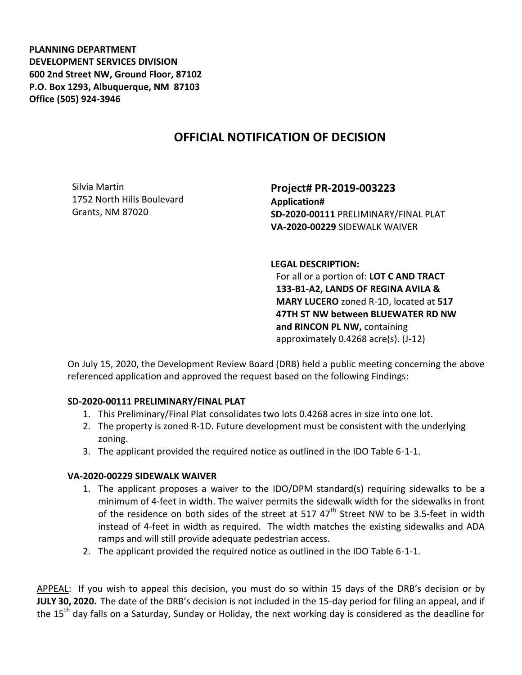**PLANNING DEPARTMENT DEVELOPMENT SERVICES DIVISION 600 2nd Street NW, Ground Floor, 87102 P.O. Box 1293, Albuquerque, NM 87103 Office (505) 924-3946** 

## **OFFICIAL NOTIFICATION OF DECISION**

Silvia Martin 1752 North Hills Boulevard Grants, NM 87020

**Project# PR-2019-003223 Application# SD-2020-00111** PRELIMINARY/FINAL PLAT **VA-2020-00229** SIDEWALK WAIVER

**LEGAL DESCRIPTION:**

For all or a portion of: **LOT C AND TRACT 133-B1-A2, LANDS OF REGINA AVILA & MARY LUCERO** zoned R-1D, located at **517 47TH ST NW between BLUEWATER RD NW and RINCON PL NW,** containing approximately 0.4268 acre(s). (J-12)

On July 15, 2020, the Development Review Board (DRB) held a public meeting concerning the above referenced application and approved the request based on the following Findings:

## **SD-2020-00111 PRELIMINARY/FINAL PLAT**

- 1. This Preliminary/Final Plat consolidates two lots 0.4268 acres in size into one lot.
- 2. The property is zoned R-1D. Future development must be consistent with the underlying zoning.
- 3. The applicant provided the required notice as outlined in the IDO Table 6-1-1.

## **VA-2020-00229 SIDEWALK WAIVER**

- 1. The applicant proposes a waiver to the IDO/DPM standard(s) requiring sidewalks to be a minimum of 4-feet in width. The waiver permits the sidewalk width for the sidewalks in front of the residence on both sides of the street at 517  $47<sup>th</sup>$  Street NW to be 3.5-feet in width instead of 4-feet in width as required. The width matches the existing sidewalks and ADA ramps and will still provide adequate pedestrian access.
- 2. The applicant provided the required notice as outlined in the IDO Table 6-1-1.

APPEAL: If you wish to appeal this decision, you must do so within 15 days of the DRB's decision or by **JULY 30, 2020.** The date of the DRB's decision is not included in the 15-day period for filing an appeal, and if the 15<sup>th</sup> day falls on a Saturday, Sunday or Holiday, the next working day is considered as the deadline for